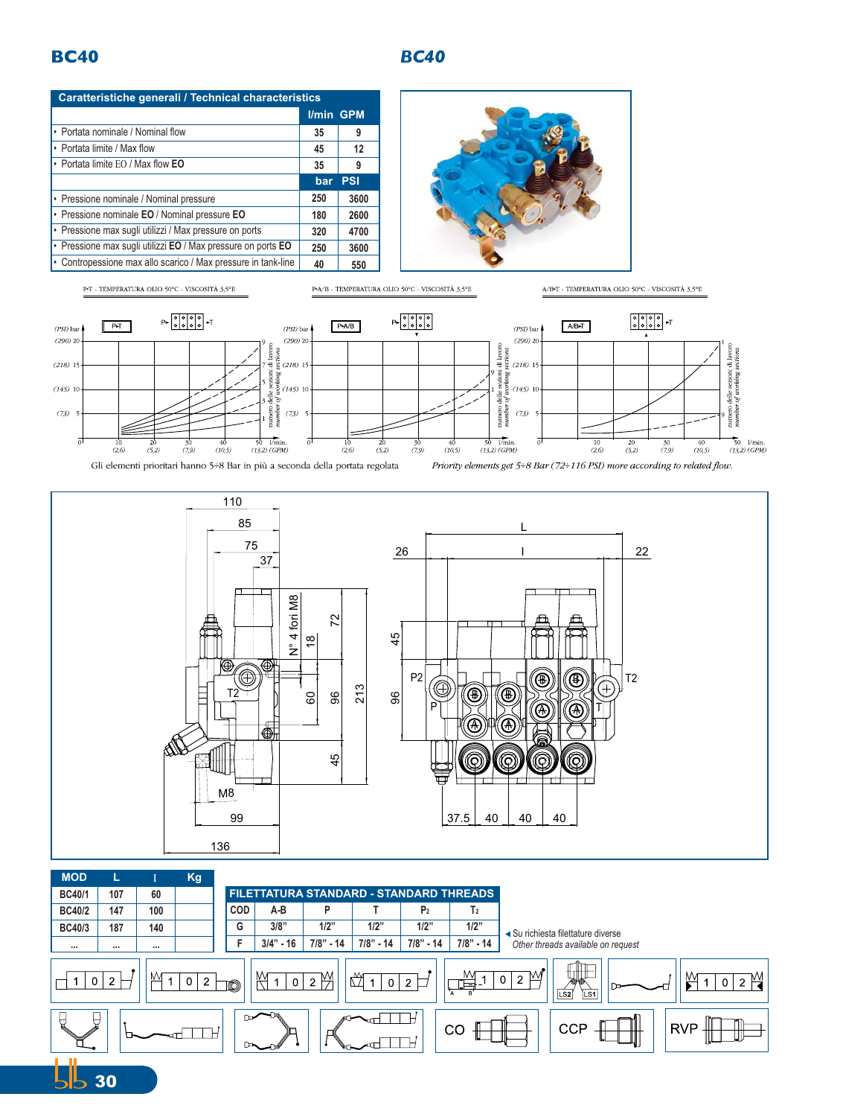## **BC40** *BC40*

 $5530$ 

| Caratteristiche generali / Technical characteristics          |                  |            |  |  |
|---------------------------------------------------------------|------------------|------------|--|--|
|                                                               | <b>I/min GPM</b> |            |  |  |
| • Portata nominale / Nominal flow                             | 35               | 9          |  |  |
| • Portata limite / Max flow                                   | 45               | 12         |  |  |
| • Portata limite EO / Max flow EO                             | 35               | 9          |  |  |
|                                                               | bar              | <b>PSI</b> |  |  |
| • Pressione nominale / Nominal pressure                       | 250              | 3600       |  |  |
| • Pressione nominale EO / Nominal pressure EO                 | 180              | 2600       |  |  |
| · Pressione max sugli utilizzi / Max pressure on ports        | 320              | 4700       |  |  |
| • Pressione max sugli utilizzi EO / Max pressure on ports EO  | 250              | 3600       |  |  |
| • Contropessione max allo scarico / Max pressure in tank-line | 40               | 550        |  |  |
|                                                               |                  |            |  |  |







|                                                                                                                                                                           | <b>MOD</b>    |          |     | Kg |            |                                                |             |             |                |                |                                    |
|---------------------------------------------------------------------------------------------------------------------------------------------------------------------------|---------------|----------|-----|----|------------|------------------------------------------------|-------------|-------------|----------------|----------------|------------------------------------|
|                                                                                                                                                                           | <b>BC40/1</b> | 107      | 60  |    |            | <b>FILETTATURA STANDARD - STANDARD THREADS</b> |             |             |                |                |                                    |
|                                                                                                                                                                           | <b>BC40/2</b> | 147      | 100 |    | <b>COD</b> | A-B                                            | P           |             | P <sub>2</sub> | T <sub>2</sub> |                                    |
|                                                                                                                                                                           | <b>BC40/3</b> | 187      | 140 |    | G          | 3/8"                                           | 1/2"        | 1/2"        | 1/2"           | 1/2"           | ◀ Su richiesta filettature diverse |
|                                                                                                                                                                           | .             | $\cdots$ |     |    |            | $3/4" - 16$                                    | $7/8" - 14$ | $7/8" - 14$ | 7/8" - 14      | $7/8" - 14$    | Other threads available on request |
| Ul.<br>M<br>M<br>M١<br>$\overline{2}$<br>$\mathbf 0$<br>$\overline{2}$<br>0<br>$\overline{2}$<br>0<br>$\overline{2}$<br>- 2<br>2<br>n<br>O<br>ᆖ<br>LS1<br>LS <sub>2</sub> |               |          |     |    |            |                                                |             |             |                |                |                                    |
| ╫<br><b>CCP</b><br><b>RVP</b><br>CO<br>$\rightarrow$                                                                                                                      |               |          |     |    |            |                                                |             |             |                |                |                                    |
| 1 H                                                                                                                                                                       |               |          |     |    |            |                                                |             |             |                |                |                                    |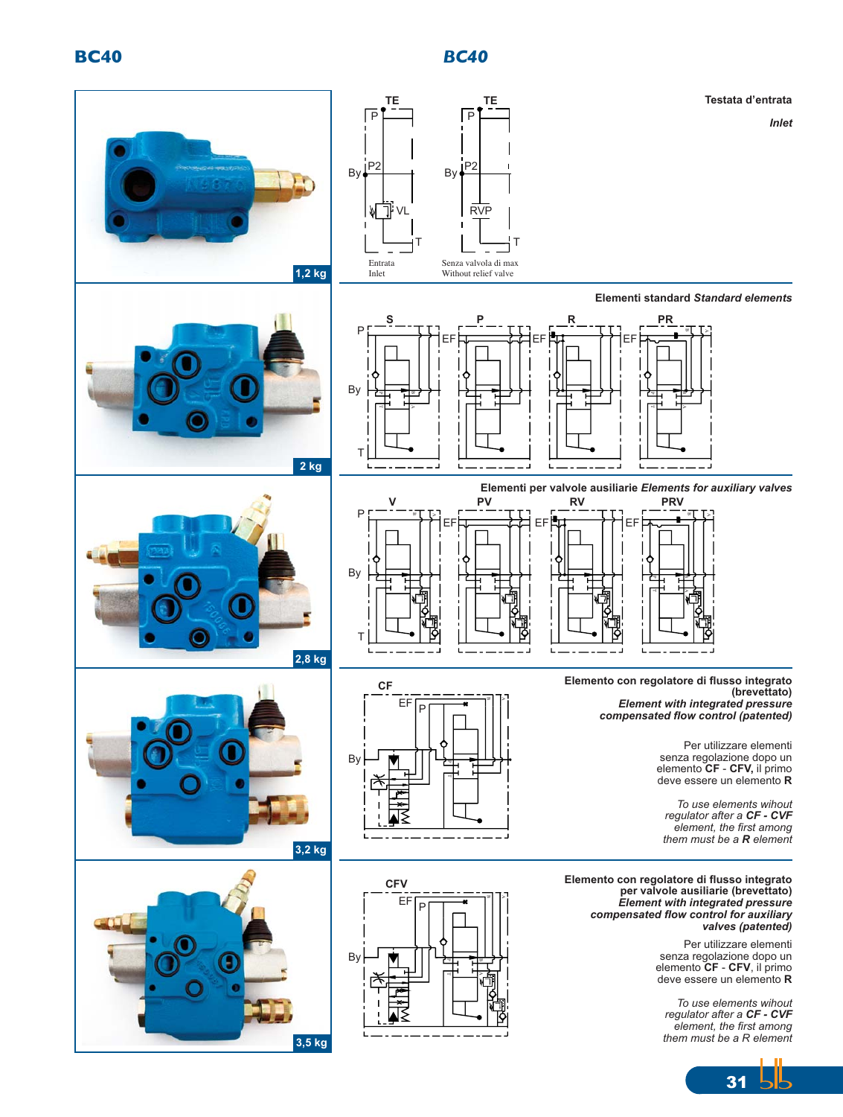## **BC40** *BC40*